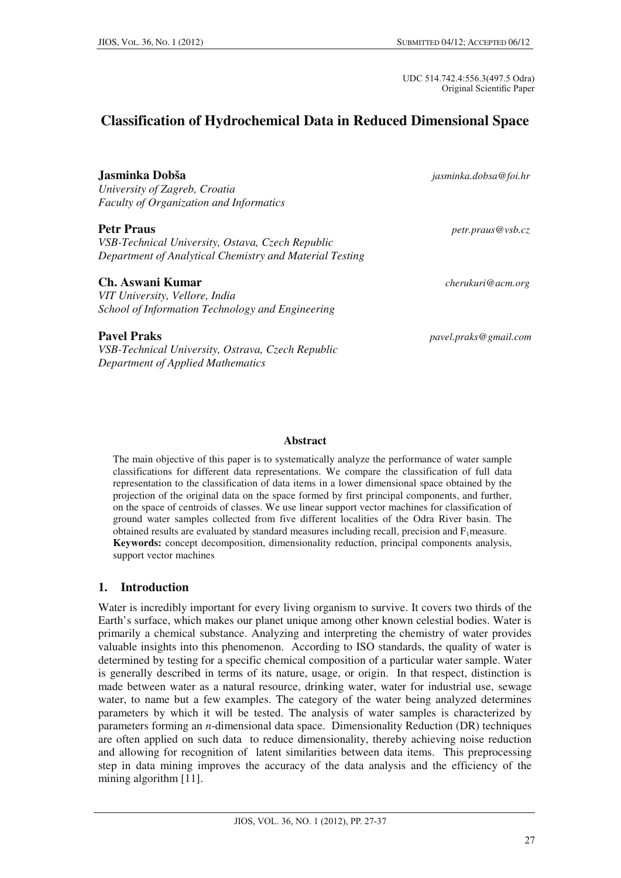UDC 514.742.4:556.3(497.5 Odra) Original Scientific Paper

# **Classification of Hydrochemical Data in Reduced Dimensional Space**

*University of Zagreb, Croatia Faculty of Organization and Informatics* 

*VSB-Technical University, Ostava, Czech Republic Department of Analytical Chemistry and Material Testing* 

#### **Ch. Aswani Kumar** *cherukuri@acm.org*

*VIT University, Vellore, India School of Information Technology and Engineering* 

**Jasminka Dobša** *jasminka.dobsa@foi.hr*

**Petr Praus** *<i>petr.praus@vsb.cz* 

**Pavel Praks** *pavel.praks@gmail.com* 

*VSB-Technical University, Ostrava, Czech Republic Department of Applied Mathematics* 

#### **Abstract**

The main objective of this paper is to systematically analyze the performance of water sample classifications for different data representations. We compare the classification of full data representation to the classification of data items in a lower dimensional space obtained by the projection of the original data on the space formed by first principal components, and further, on the space of centroids of classes. We use linear support vector machines for classification of ground water samples collected from five different localities of the Odra River basin. The obtained results are evaluated by standard measures including recall, precision and F1measure. **Keywords:** concept decomposition, dimensionality reduction, principal components analysis, support vector machines

## **1. Introduction**

Water is incredibly important for every living organism to survive. It covers two thirds of the Earth's surface, which makes our planet unique among other known celestial bodies. Water is primarily a chemical substance. Analyzing and interpreting the chemistry of water provides valuable insights into this phenomenon. According to ISO standards, the quality of water is determined by testing for a specific chemical composition of a particular water sample. Water is generally described in terms of its nature, usage, or origin. In that respect, distinction is made between water as a natural resource, drinking water, water for industrial use, sewage water, to name but a few examples. The category of the water being analyzed determines parameters by which it will be tested. The analysis of water samples is characterized by parameters forming an *n*-dimensional data space. Dimensionality Reduction (DR) techniques are often applied on such data to reduce dimensionality, thereby achieving noise reduction and allowing for recognition of latent similarities between data items. This preprocessing step in data mining improves the accuracy of the data analysis and the efficiency of the mining algorithm [11].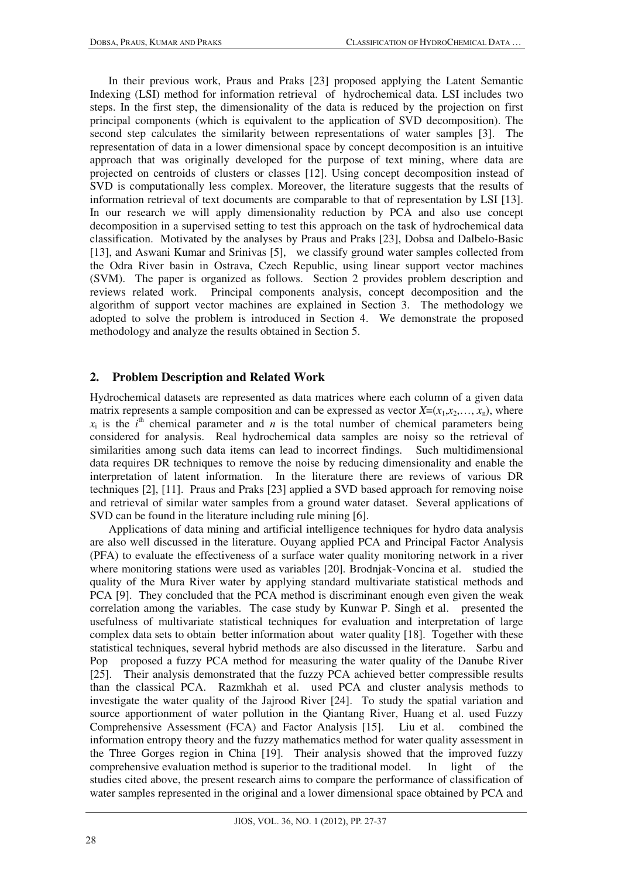In their previous work, Praus and Praks [23] proposed applying the Latent Semantic Indexing (LSI) method for information retrieval of hydrochemical data. LSI includes two steps. In the first step, the dimensionality of the data is reduced by the projection on first principal components (which is equivalent to the application of SVD decomposition). The second step calculates the similarity between representations of water samples [3]. The representation of data in a lower dimensional space by concept decomposition is an intuitive approach that was originally developed for the purpose of text mining, where data are projected on centroids of clusters or classes [12]. Using concept decomposition instead of SVD is computationally less complex. Moreover, the literature suggests that the results of information retrieval of text documents are comparable to that of representation by LSI [13]. In our research we will apply dimensionality reduction by PCA and also use concept decomposition in a supervised setting to test this approach on the task of hydrochemical data classification. Motivated by the analyses by Praus and Praks [23], Dobsa and Dalbelo-Basic [13], and Aswani Kumar and Srinivas [5], we classify ground water samples collected from the Odra River basin in Ostrava, Czech Republic, using linear support vector machines (SVM). The paper is organized as follows. Section 2 provides problem description and reviews related work. Principal components analysis, concept decomposition and the algorithm of support vector machines are explained in Section 3. The methodology we adopted to solve the problem is introduced in Section 4. We demonstrate the proposed methodology and analyze the results obtained in Section 5.

#### **2. Problem Description and Related Work**

Hydrochemical datasets are represented as data matrices where each column of a given data matrix represents a sample composition and can be expressed as vector  $X=(x_1,x_2,...,x_n)$ , where  $x_i$  is the  $i^{\text{th}}$  chemical parameter and *n* is the total number of chemical parameters being considered for analysis. Real hydrochemical data samples are noisy so the retrieval of similarities among such data items can lead to incorrect findings. Such multidimensional data requires DR techniques to remove the noise by reducing dimensionality and enable the interpretation of latent information. In the literature there are reviews of various DR techniques [2], [11]. Praus and Praks [23] applied a SVD based approach for removing noise and retrieval of similar water samples from a ground water dataset. Several applications of SVD can be found in the literature including rule mining [6].

Applications of data mining and artificial intelligence techniques for hydro data analysis are also well discussed in the literature. Ouyang applied PCA and Principal Factor Analysis (PFA) to evaluate the effectiveness of a surface water quality monitoring network in a river where monitoring stations were used as variables [20]. Brodnjak-Voncina et al. studied the quality of the Mura River water by applying standard multivariate statistical methods and PCA [9]. They concluded that the PCA method is discriminant enough even given the weak correlation among the variables. The case study by Kunwar P. Singh et al. presented the usefulness of multivariate statistical techniques for evaluation and interpretation of large complex data sets to obtain better information about water quality [18]. Together with these statistical techniques, several hybrid methods are also discussed in the literature. Sarbu and Pop proposed a fuzzy PCA method for measuring the water quality of the Danube River [25]. Their analysis demonstrated that the fuzzy PCA achieved better compressible results than the classical PCA. Razmkhah et al. used PCA and cluster analysis methods to investigate the water quality of the Jajrood River [24]. To study the spatial variation and source apportionment of water pollution in the Qiantang River, Huang et al. used Fuzzy Comprehensive Assessment (FCA) and Factor Analysis [15]. Liu et al. combined the information entropy theory and the fuzzy mathematics method for water quality assessment in the Three Gorges region in China [19]. Their analysis showed that the improved fuzzy comprehensive evaluation method is superior to the traditional model. In light of the studies cited above, the present research aims to compare the performance of classification of water samples represented in the original and a lower dimensional space obtained by PCA and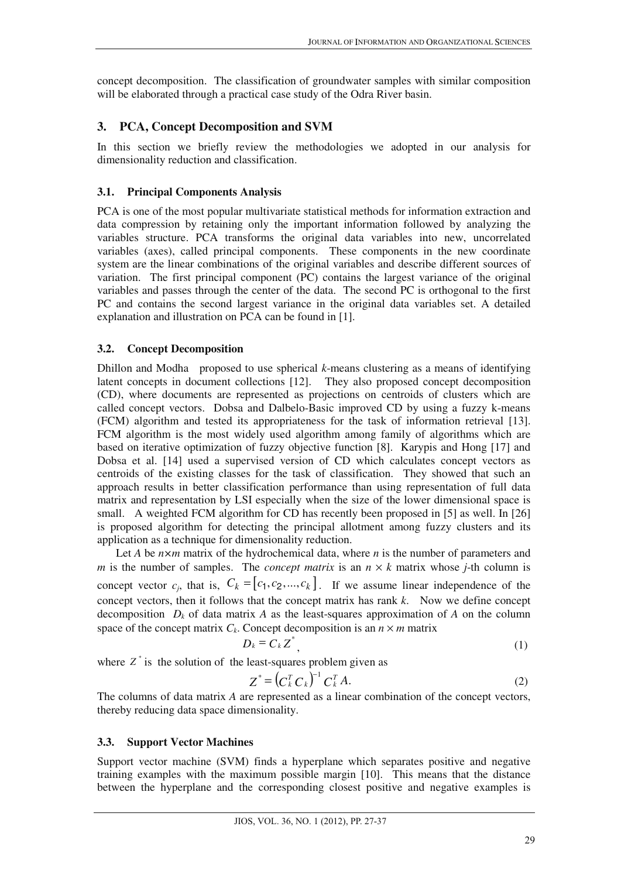concept decomposition. The classification of groundwater samples with similar composition will be elaborated through a practical case study of the Odra River basin.

## **3. PCA, Concept Decomposition and SVM**

In this section we briefly review the methodologies we adopted in our analysis for dimensionality reduction and classification.

#### **3.1. Principal Components Analysis**

PCA is one of the most popular multivariate statistical methods for information extraction and data compression by retaining only the important information followed by analyzing the variables structure. PCA transforms the original data variables into new, uncorrelated variables (axes), called principal components. These components in the new coordinate system are the linear combinations of the original variables and describe different sources of variation. The first principal component (PC) contains the largest variance of the original variables and passes through the center of the data. The second PC is orthogonal to the first PC and contains the second largest variance in the original data variables set. A detailed explanation and illustration on PCA can be found in [1].

#### **3.2. Concept Decomposition**

Dhillon and Modha proposed to use spherical *k*-means clustering as a means of identifying latent concepts in document collections [12]. They also proposed concept decomposition (CD), where documents are represented as projections on centroids of clusters which are called concept vectors. Dobsa and Dalbelo-Basic improved CD by using a fuzzy k-means (FCM) algorithm and tested its appropriateness for the task of information retrieval [13]. FCM algorithm is the most widely used algorithm among family of algorithms which are based on iterative optimization of fuzzy objective function [8]. Karypis and Hong [17] and Dobsa et al. [14] used a supervised version of CD which calculates concept vectors as centroids of the existing classes for the task of classification. They showed that such an approach results in better classification performance than using representation of full data matrix and representation by LSI especially when the size of the lower dimensional space is small. A weighted FCM algorithm for CD has recently been proposed in [5] as well. In [26] is proposed algorithm for detecting the principal allotment among fuzzy clusters and its application as a technique for dimensionality reduction.

Let *A* be *n*×*m* matrix of the hydrochemical data, where *n* is the number of parameters and *m* is the number of samples. The *concept matrix* is an  $n \times k$  matrix whose *j*-th column is concept vector  $c_i$ , that is,  $C_k = [c_1, c_2, ..., c_k]$ . If we assume linear independence of the concept vectors, then it follows that the concept matrix has rank *k*. Now we define concept decomposition  $D_k$  of data matrix *A* as the least-squares approximation of *A* on the column space of the concept matrix  $C_k$ . Concept decomposition is an  $n \times m$  matrix

$$
D_k = C_k Z^*,\tag{1}
$$

where  $Z^*$  is the solution of the least-squares problem given as

$$
Z^* = \left(C_k^T C_k\right)^{-1} C_k^T A. \tag{2}
$$

The columns of data matrix *A* are represented as a linear combination of the concept vectors, thereby reducing data space dimensionality.

#### **3.3. Support Vector Machines**

 $\overline{a}$ 

Support vector machine (SVM) finds a hyperplane which separates positive and negative training examples with the maximum possible margin [10]. This means that the distance between the hyperplane and the corresponding closest positive and negative examples is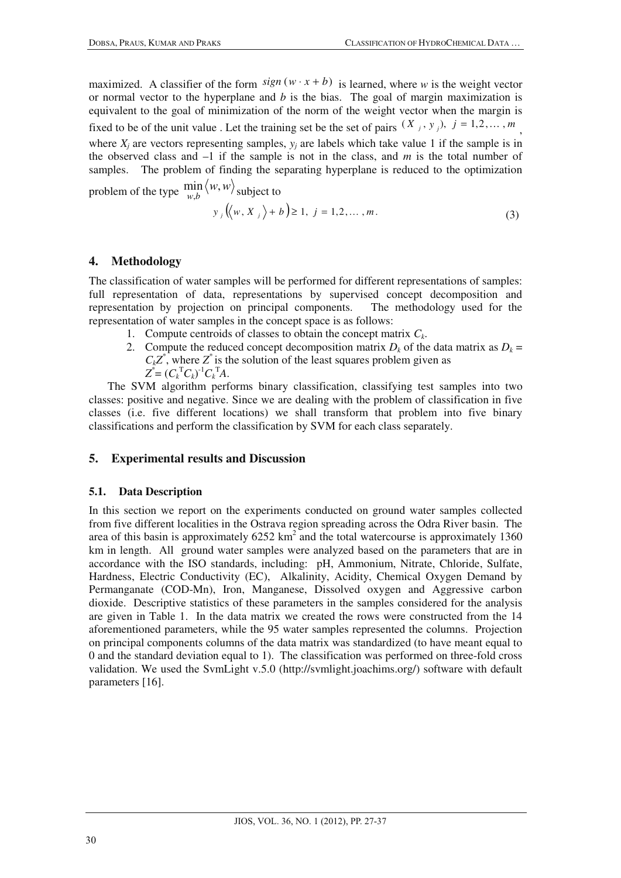maximized. A classifier of the form  $sign(w \cdot x + b)$  is learned, where *w* is the weight vector or normal vector to the hyperplane and *b* is the bias. The goal of margin maximization is equivalent to the goal of minimization of the norm of the weight vector when the margin is fixed to be of the unit value. Let the training set be the set of pairs  $(X_j, y_j)$ ,  $j = 1, 2, ..., m$ , where  $X_i$  are vectors representing samples,  $y_i$  are labels which take value 1 if the sample is in the observed class and  $-1$  if the sample is not in the class, and  $m$  is the total number of samples. The problem of finding the separating hyperplane is reduced to the optimization

problem of the type  $\min_{w,b} \langle w, \rangle$  $\min_{w,b} \langle w, w \rangle$  subject to

$$
y_j((w, X_j) + b) \ge 1, j = 1, 2, ..., m.
$$
 (3)

#### **4. Methodology**

The classification of water samples will be performed for different representations of samples: full representation of data, representations by supervised concept decomposition and representation by projection on principal components. The methodology used for the representation of water samples in the concept space is as follows:

- 1. Compute centroids of classes to obtain the concept matrix *Ck*.
- 2. Compute the reduced concept decomposition matrix  $D_k$  of the data matrix as  $D_k =$  $C_kZ^*$ , where  $Z^*$  is the solution of the least squares problem given as  $Z^* = (C_k^{\mathrm{T}} C_k)^{-1} C_k^{\mathrm{T}} A$ .

The SVM algorithm performs binary classification, classifying test samples into two classes: positive and negative. Since we are dealing with the problem of classification in five classes (i.e. five different locations) we shall transform that problem into five binary classifications and perform the classification by SVM for each class separately.

#### **5. Experimental results and Discussion**

#### **5.1. Data Description**

In this section we report on the experiments conducted on ground water samples collected from five different localities in the Ostrava region spreading across the Odra River basin. The area of this basin is approximately  $6252 \text{ km}^2$  and the total watercourse is approximately 1360 km in length. All ground water samples were analyzed based on the parameters that are in accordance with the ISO standards, including: pH, Ammonium, Nitrate, Chloride, Sulfate, Hardness, Electric Conductivity (EC), Alkalinity, Acidity, Chemical Oxygen Demand by Permanganate (COD-Mn), Iron, Manganese, Dissolved oxygen and Aggressive carbon dioxide. Descriptive statistics of these parameters in the samples considered for the analysis are given in Table 1. In the data matrix we created the rows were constructed from the 14 aforementioned parameters, while the 95 water samples represented the columns. Projection on principal components columns of the data matrix was standardized (to have meant equal to 0 and the standard deviation equal to 1). The classification was performed on three-fold cross validation. We used the SvmLight v.5.0 (http://svmlight.joachims.org/) software with default parameters [16].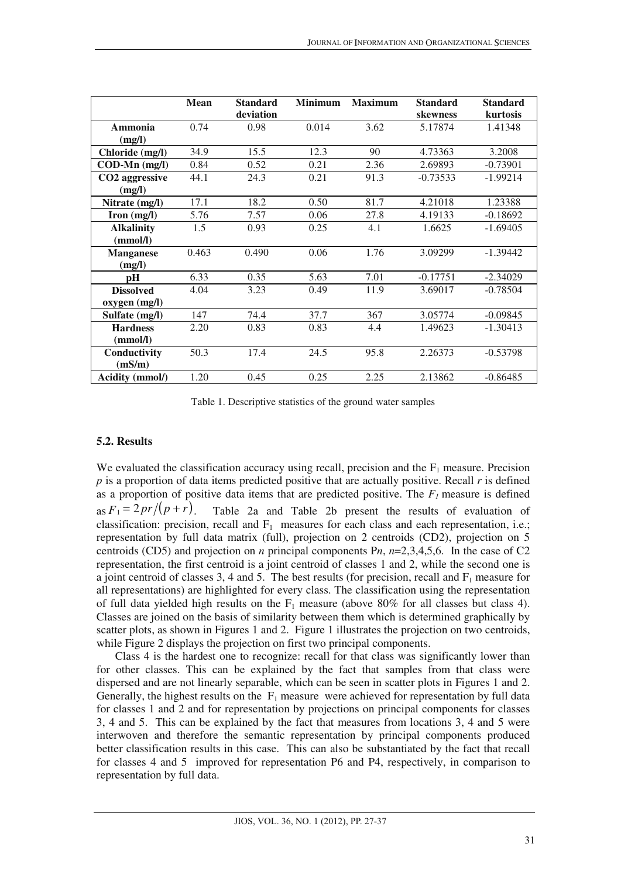|                      | <b>Mean</b> | <b>Standard</b> | <b>Minimum</b> | <b>Maximum</b> | <b>Standard</b> | <b>Standard</b> |
|----------------------|-------------|-----------------|----------------|----------------|-----------------|-----------------|
|                      |             | deviation       |                |                | skewness        | kurtosis        |
| Ammonia              | 0.74        | 0.98            | 0.014          | 3.62           | 5.17874         | 1.41348         |
| (mg/l)               |             |                 |                |                |                 |                 |
| Chloride (mg/l)      | 34.9        | 15.5            | 12.3           | 90             | 4.73363         | 3.2008          |
| $COD-Mn$ (mg/l)      | 0.84        | 0.52            | 0.21           | 2.36           | 2.69893         | $-0.73901$      |
| CO2 aggressive       | 44.1        | 24.3            | 0.21           | 91.3           | $-0.73533$      | $-1.99214$      |
| (mg/l)               |             |                 |                |                |                 |                 |
| Nitrate (mg/l)       | 17.1        | 18.2            | 0.50           | 81.7           | 4.21018         | 1.23388         |
| $\text{Iron (mg/l)}$ | 5.76        | 7.57            | 0.06           | 27.8           | 4.19133         | $-0.18692$      |
| <b>Alkalinity</b>    | 1.5         | 0.93            | 0.25           | 4.1            | 1.6625          | $-1.69405$      |
| (mmol/l)             |             |                 |                |                |                 |                 |
| <b>Manganese</b>     | 0.463       | 0.490           | 0.06           | 1.76           | 3.09299         | $-1.39442$      |
| (mg/l)               |             |                 |                |                |                 |                 |
| рH                   | 6.33        | 0.35            | 5.63           | 7.01           | $-0.17751$      | $-2.34029$      |
| <b>Dissolved</b>     | 4.04        | 3.23            | 0.49           | 11.9           | 3.69017         | $-0.78504$      |
| oxygen (mg/l)        |             |                 |                |                |                 |                 |
| Sulfate (mg/l)       | 147         | 74.4            | 37.7           | 367            | 3.05774         | $-0.09845$      |
| <b>Hardness</b>      | 2.20        | 0.83            | 0.83           | 4.4            | 1.49623         | $-1.30413$      |
| (mmol/l)             |             |                 |                |                |                 |                 |
| Conductivity         | 50.3        | 17.4            | 24.5           | 95.8           | 2.26373         | $-0.53798$      |
| (mS/m)               |             |                 |                |                |                 |                 |
| Acidity (mmol/)      | 1.20        | 0.45            | 0.25           | 2.25           | 2.13862         | $-0.86485$      |

Table 1. Descriptive statistics of the ground water samples

#### **5.2. Results**

 $\overline{a}$ 

We evaluated the classification accuracy using recall, precision and the  $F_1$  measure. Precision *p* is a proportion of data items predicted positive that are actually positive. Recall *r* is defined as a proportion of positive data items that are predicted positive. The  $F<sub>l</sub>$  measure is defined as  $F_1 = 2pr/(p + r)$ . Table 2a and Table 2b present the results of evaluation of classification: precision, recall and  $F_1$  measures for each class and each representation, i.e.; representation by full data matrix (full), projection on 2 centroids (CD2), projection on 5 centroids (CD5) and projection on *n* principal components P*n*, *n*=2,3,4,5,6. In the case of C2 representation, the first centroid is a joint centroid of classes 1 and 2, while the second one is a joint centroid of classes 3, 4 and 5. The best results (for precision, recall and  $F_1$  measure for all representations) are highlighted for every class. The classification using the representation of full data yielded high results on the  $F_1$  measure (above 80% for all classes but class 4). Classes are joined on the basis of similarity between them which is determined graphically by scatter plots, as shown in Figures 1 and 2. Figure 1 illustrates the projection on two centroids, while Figure 2 displays the projection on first two principal components.

Class 4 is the hardest one to recognize: recall for that class was significantly lower than for other classes. This can be explained by the fact that samples from that class were dispersed and are not linearly separable, which can be seen in scatter plots in Figures 1 and 2. Generally, the highest results on the  $F_1$  measure were achieved for representation by full data for classes 1 and 2 and for representation by projections on principal components for classes 3, 4 and 5. This can be explained by the fact that measures from locations 3, 4 and 5 were interwoven and therefore the semantic representation by principal components produced better classification results in this case. This can also be substantiated by the fact that recall for classes 4 and 5 improved for representation P6 and P4, respectively, in comparison to representation by full data.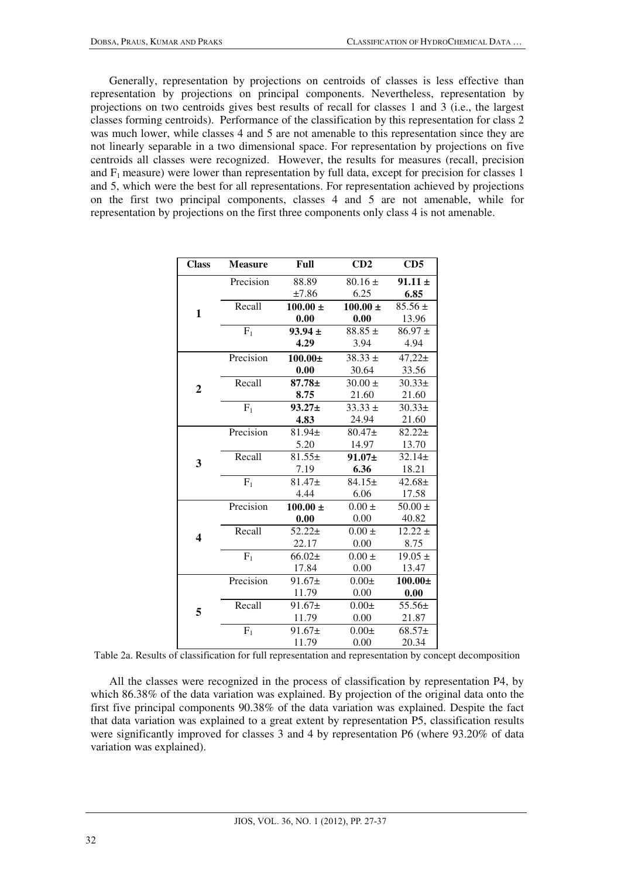Generally, representation by projections on centroids of classes is less effective than representation by projections on principal components. Nevertheless, representation by projections on two centroids gives best results of recall for classes 1 and 3 (i.e., the largest classes forming centroids). Performance of the classification by this representation for class 2 was much lower, while classes 4 and 5 are not amenable to this representation since they are not linearly separable in a two dimensional space. For representation by projections on five centroids all classes were recognized. However, the results for measures (recall, precision and  $F_1$  measure) were lower than representation by full data, except for precision for classes 1 and 5, which were the best for all representations. For representation achieved by projections on the first two principal components, classes 4 and 5 are not amenable, while for representation by projections on the first three components only class 4 is not amenable.

| <b>Class</b>            | <b>Measure</b> | Full         | CD2          | CD5         |  |
|-------------------------|----------------|--------------|--------------|-------------|--|
| $\mathbf{1}$            | Precision      | 88.89        | $80.16 \pm$  | $91.11 \pm$ |  |
|                         |                | ±7.86        | 6.25         | 6.85        |  |
|                         | Recall         | $100.00 \pm$ | $100.00 \pm$ | $85.56 \pm$ |  |
|                         |                | 0.00         | 0.00         | 13.96       |  |
|                         | $F_1$          | $93.94 \pm$  | $88.85 \pm$  | $86.97 \pm$ |  |
|                         |                | 4.29         | 3.94         | 4.94        |  |
| $\overline{2}$          | Precision      | $100.00 \pm$ | $38.33 \pm$  | $47,22+$    |  |
|                         |                | 0.00         | 30.64        | 33.56       |  |
|                         | Recall         | $87.78 \pm$  | $30.00 \pm$  | $30.33\pm$  |  |
|                         |                | 8.75         | 21.60        | 21.60       |  |
|                         | $F_1$          | $93.27 \pm$  | $33.33 \pm$  | $30.33\pm$  |  |
|                         |                | 4.83         | 24.94        | 21.60       |  |
| 3                       | Precision      | 81.94±       | $80.47+$     | $82.22 \pm$ |  |
|                         |                | 5.20         | 14.97        | 13.70       |  |
|                         | Recall         | $81.55\pm$   | $91.07\pm$   | $32.14 \pm$ |  |
|                         |                | 7.19         | 6.36         | 18.21       |  |
|                         | $F_1$          | $81.47+$     | $84.15+$     | $42.68 \pm$ |  |
|                         |                | 4.44         | 6.06         | 17.58       |  |
|                         | Precision      | $100.00 \pm$ | $0.00 \pm$   | $50.00 \pm$ |  |
|                         |                | 0.00         | 0.00         | 40.82       |  |
| $\overline{\mathbf{4}}$ | Recall         | $52.22 \pm$  | $0.00 \pm$   | $12.22 \pm$ |  |
|                         |                | 22.17        | 0.00         | 8.75        |  |
|                         | $F_1$          | $66.02\pm$   | $0.00 \pm$   | $19.05 \pm$ |  |
|                         |                | 17.84        | 0.00         | 13.47       |  |
| 5                       | Precision      | $91.67 \pm$  | $0.00\pm$    | $100.00\pm$ |  |
|                         |                | 11.79        | 0.00         | 0.00        |  |
|                         | Recall         | $91.67 \pm$  | $0.00\pm$    | 55.56±      |  |
|                         |                | 11.79        | 0.00         | 21.87       |  |
|                         | $F_1$          | $91.67 \pm$  | $0.00\pm$    | $68.57+$    |  |
|                         |                | 11.79        | 0.00         | 20.34       |  |

Table 2a. Results of classification for full representation and representation by concept decomposition

All the classes were recognized in the process of classification by representation P4, by which 86.38% of the data variation was explained. By projection of the original data onto the first five principal components 90.38% of the data variation was explained. Despite the fact that data variation was explained to a great extent by representation P5, classification results were significantly improved for classes 3 and 4 by representation P6 (where 93.20% of data variation was explained).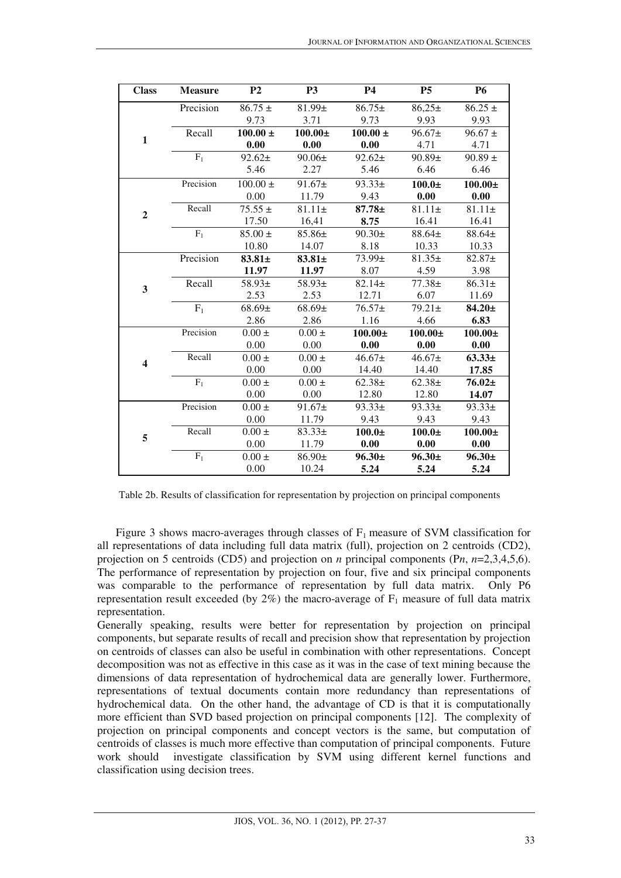| <b>Class</b>            | <b>Measure</b> | P <sub>2</sub> | <b>P3</b>     | <b>P4</b>    | <b>P5</b>   | <b>P6</b>    |
|-------------------------|----------------|----------------|---------------|--------------|-------------|--------------|
| $\mathbf{1}$            | Precision      | $86.75 \pm$    | 81.99±        | $86.75+$     | $86,25 \pm$ | $86.25 \pm$  |
|                         |                | 9.73           | 3.71          | 9.73         | 9.93        | 9.93         |
|                         | Recall         | $100.00 \pm$   | $100.00\pm$   | $100.00 \pm$ | $96.67 \pm$ | $96.67 \pm$  |
|                         |                | 0.00           | 0.00          | 0.00         | 4.71        | 4.71         |
|                         | $F_1$          | $92.62 \pm$    | $90.06\pm$    | $92.62 \pm$  | $90.89 \pm$ | $90.89 \pm$  |
|                         |                | 5.46           | 2.27          | 5.46         | 6.46        | 6.46         |
|                         | Precision      | $100.00 \pm$   | $91.67 \pm$   | $93.33 \pm$  | $100.0\pm$  | $100.00 \pm$ |
|                         |                | 0.00           | 11.79         | 9.43         | 0.00        | 0.00         |
|                         | Recall         | $75.55 \pm$    | $81.11 \pm$   | $87.78 \pm$  | $81.11 \pm$ | $81.11 \pm$  |
| $\overline{2}$          |                | 17.50          | 16,41         | 8.75         | 16.41       | 16.41        |
|                         | $F_1$          | $85.00 \pm$    | 85.86±        | $90.30\pm$   | 88.64±      | 88.64±       |
|                         |                | 10.80          | 14.07         | 8.18         | 10.33       | 10.33        |
|                         | Precision      | 83.81±         | $83.81 \pm$   | 73.99±       | $81.35\pm$  | 82.87±       |
|                         |                | 11.97          | 11.97         | 8.07         | 4.59        | 3.98         |
| 3                       | Recall         | 58.93±         | 58.93±        | $82.14 \pm$  | $77.38 \pm$ | $86.31 \pm$  |
|                         |                | 2.53           | 2.53          | 12.71        | 6.07        | 11.69        |
|                         | $F_1$          | $68.69 \pm$    | $68.69 \pm$   | $76.57+$     | $79.21 \pm$ | $84.20 \pm$  |
|                         |                | 2.86           | 2.86          | 1.16         | 4.66        | 6.83         |
| $\overline{\mathbf{4}}$ | Precision      | $0.00 \pm$     | $0.00 \pm$    | $100.00\pm$  | $100.00\pm$ | $100.00\pm$  |
|                         |                | 0.00           | 0.00          | 0.00         | 0.00        | 0.00         |
|                         | Recall         | $0.00 \pm$     | $0.00\,\pm\,$ | $46.67 \pm$  | $46.67\pm$  | $63.33\pm$   |
|                         |                | 0.00           | 0.00          | 14.40        | 14.40       | 17.85        |
|                         | $F_1$          | $0.00 \pm$     | $0.00 \pm$    | $62.38+$     | $62.38+$    | $76.02\pm$   |
|                         |                | 0.00           | 0.00          | 12.80        | 12.80       | 14.07        |
| 5                       | Precision      | $0.00 \pm$     | $91.67 \pm$   | $93.33 \pm$  | $93.33 \pm$ | 93.33±       |
|                         |                | 0.00           | 11.79         | 9.43         | 9.43        | 9.43         |
|                         | Recall         | $0.00 \pm$     | $83.33\pm$    | $100.0\pm$   | $100.0\pm$  | $100.00\pm$  |
|                         |                | 0.00           | 11.79         | 0.00         | 0.00        | 0.00         |
|                         | $F_1$          | $0.00 \pm$     | 86.90±        | $96.30 \pm$  | $96.30 \pm$ | $96.30 \pm$  |
|                         |                | 0.00           | 10.24         | 5.24         | 5.24        | 5.24         |

Table 2b. Results of classification for representation by projection on principal components

Figure 3 shows macro-averages through classes of  $F_1$  measure of SVM classification for all representations of data including full data matrix (full), projection on 2 centroids (CD2), projection on 5 centroids (CD5) and projection on *n* principal components (P*n*, *n*=2,3,4,5,6). The performance of representation by projection on four, five and six principal components was comparable to the performance of representation by full data matrix. Only P6 representation result exceeded (by  $2\%$ ) the macro-average of  $F_1$  measure of full data matrix representation.

Generally speaking, results were better for representation by projection on principal components, but separate results of recall and precision show that representation by projection on centroids of classes can also be useful in combination with other representations. Concept decomposition was not as effective in this case as it was in the case of text mining because the dimensions of data representation of hydrochemical data are generally lower. Furthermore, representations of textual documents contain more redundancy than representations of hydrochemical data. On the other hand, the advantage of CD is that it is computationally more efficient than SVD based projection on principal components [12].The complexity of projection on principal components and concept vectors is the same, but computation of centroids of classes is much more effective than computation of principal components. Future work should investigate classification by SVM using different kernel functions and classification using decision trees.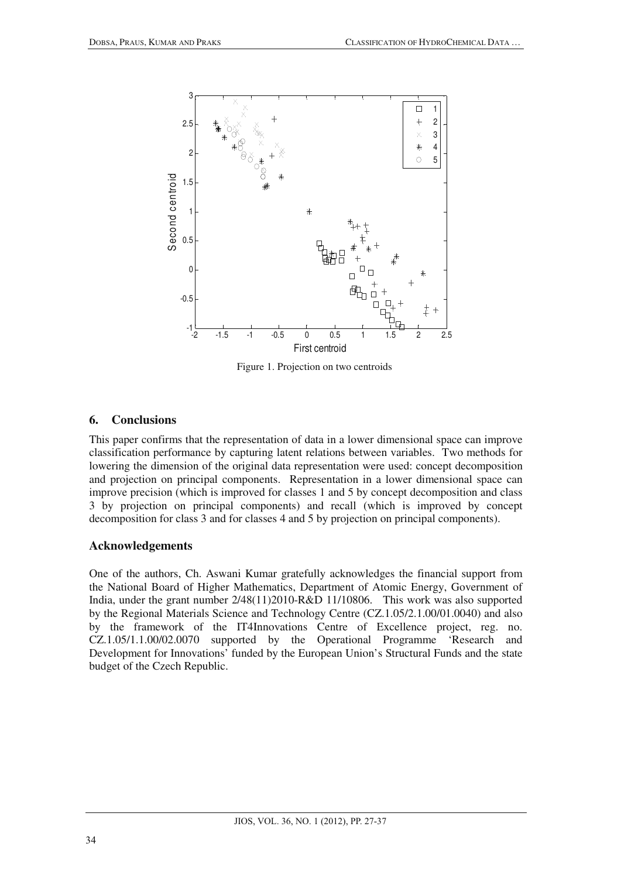

Figure 1. Projection on two centroids

## **6. Conclusions**

This paper confirms that the representation of data in a lower dimensional space can improve classification performance by capturing latent relations between variables. Two methods for lowering the dimension of the original data representation were used: concept decomposition and projection on principal components. Representation in a lower dimensional space can improve precision (which is improved for classes 1 and 5 by concept decomposition and class 3 by projection on principal components) and recall (which is improved by concept decomposition for class 3 and for classes 4 and 5 by projection on principal components).

## **Acknowledgements**

One of the authors, Ch. Aswani Kumar gratefully acknowledges the financial support from the National Board of Higher Mathematics, Department of Atomic Energy, Government of India, under the grant number 2/48(11)2010-R&D 11/10806. This work was also supported by the Regional Materials Science and Technology Centre (CZ.1.05/2.1.00/01.0040) and also by the framework of the IT4Innovations Centre of Excellence project, reg. no. CZ.1.05/1.1.00/02.0070 supported by the Operational Programme 'Research and Development for Innovations' funded by the European Union's Structural Funds and the state budget of the Czech Republic.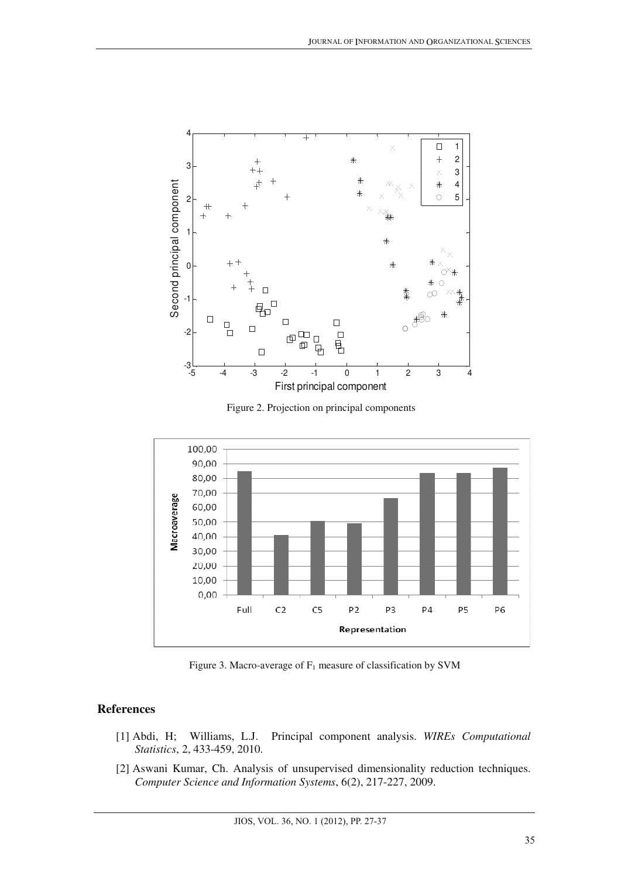

Figure 2. Projection on principal components



Figure 3. Macro-average of  $F_1$  measure of classification by SVM

### **References**

- [1] Abdi, H; Williams, L.J. Principal component analysis. *WIREs Computational Statistics*, 2, 433-459, 2010.
- [2] Aswani Kumar, Ch. Analysis of unsupervised dimensionality reduction techniques. *Computer Science and Information Systems*, 6(2), 217-227, 2009.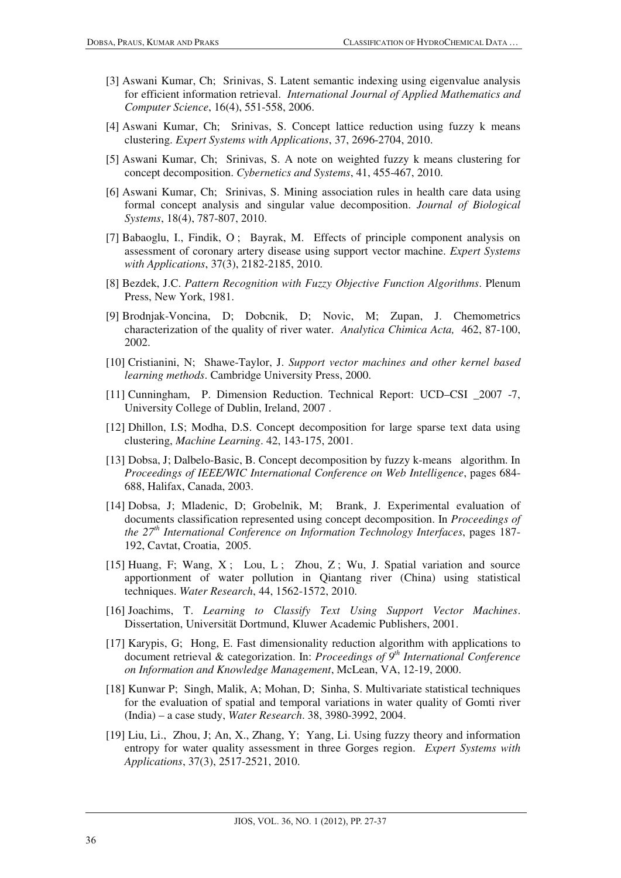- [3] Aswani Kumar, Ch; Srinivas, S. Latent semantic indexing using eigenvalue analysis for efficient information retrieval. *International Journal of Applied Mathematics and Computer Science*, 16(4), 551-558, 2006.
- [4] Aswani Kumar, Ch; Srinivas, S. Concept lattice reduction using fuzzy k means clustering. *Expert Systems with Applications*, 37, 2696-2704, 2010.
- [5] Aswani Kumar, Ch; Srinivas, S. A note on weighted fuzzy k means clustering for concept decomposition. *Cybernetics and Systems*, 41, 455-467, 2010.
- [6] Aswani Kumar, Ch; Srinivas, S. Mining association rules in health care data using formal concept analysis and singular value decomposition. *Journal of Biological Systems*, 18(4), 787-807, 2010.
- [7] Babaoglu, I., Findik, O ; Bayrak, M. Effects of principle component analysis on assessment of coronary artery disease using support vector machine. *Expert Systems with Applications*, 37(3), 2182-2185, 2010.
- [8] Bezdek, J.C. *Pattern Recognition with Fuzzy Objective Function Algorithms*. Plenum Press, New York, 1981.
- [9] Brodnjak-Voncina, D; Dobcnik, D; Novic, M; Zupan, J. Chemometrics characterization of the quality of river water. *Analytica Chimica Acta,* 462, 87-100, 2002.
- [10] Cristianini, N; Shawe-Taylor, J. *Support vector machines and other kernel based learning methods*. Cambridge University Press, 2000.
- [11] Cunningham, P. Dimension Reduction. Technical Report: UCD–CSI \_2007 -7, University College of Dublin, Ireland, 2007 .
- [12] Dhillon, I.S; Modha, D.S. Concept decomposition for large sparse text data using clustering, *Machine Learning*. 42, 143-175, 2001.
- [13] Dobsa, J; Dalbelo-Basic, B. Concept decomposition by fuzzy k-means algorithm. In *Proceedings of IEEE/WIC International Conference on Web Intelligence*, pages 684- 688, Halifax, Canada, 2003.
- [14] Dobsa, J; Mladenic, D; Grobelnik, M; Brank, J. Experimental evaluation of documents classification represented using concept decomposition. In *Proceedings of the 27th International Conference on Information Technology Interfaces*, pages 187- 192, Cavtat, Croatia, 2005.
- [15] Huang, F; Wang, X; Lou, L; Zhou, Z; Wu, J. Spatial variation and source apportionment of water pollution in Qiantang river (China) using statistical techniques. *Water Research*, 44, 1562-1572, 2010.
- [16] Joachims, T. *Learning to Classify Text Using Support Vector Machines*. Dissertation, Universität Dortmund, Kluwer Academic Publishers, 2001.
- [17] Karypis, G; Hong, E. Fast dimensionality reduction algorithm with applications to document retrieval & categorization. In: *Proceedings of 9th International Conference on Information and Knowledge Management*, McLean, VA, 12-19, 2000.
- [18] Kunwar P; Singh, Malik, A; Mohan, D; Sinha, S. Multivariate statistical techniques for the evaluation of spatial and temporal variations in water quality of Gomti river (India) – a case study, *Water Research*. 38, 3980-3992, 2004.
- [19] Liu, Li., Zhou, J; An, X., Zhang, Y; Yang, Li. Using fuzzy theory and information entropy for water quality assessment in three Gorges region. *Expert Systems with Applications*, 37(3), 2517-2521, 2010.